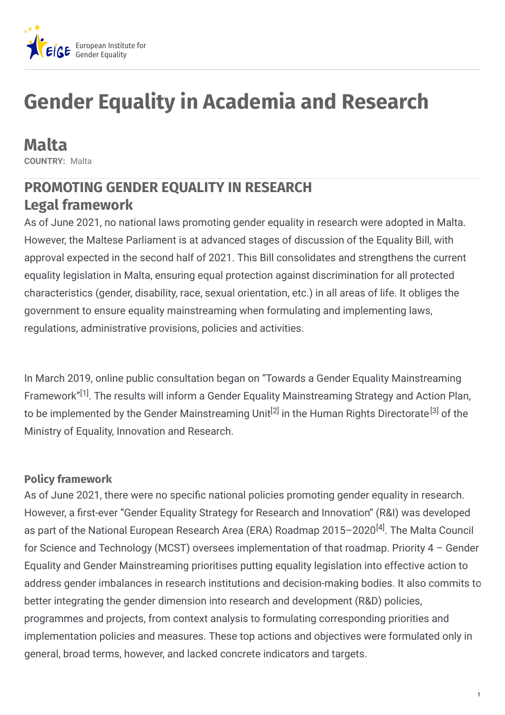

# **Gender Equality in Academia and Research**

**Malta COUNTRY:** Malta

# **PROMOTING GENDER EQUALITY IN RESEARCH Legal framework**

As of June 2021, no national laws promoting gender equality in research were adopted in Malta. However, the Maltese Parliament is at advanced stages of discussion of the Equality Bill, with approval expected in the second half of 2021. This Bill consolidates and strengthens the current equality legislation in Malta, ensuring equal protection against discrimination for all protected characteristics (gender, disability, race, sexual orientation, etc.) in all areas of life. It obliges the government to ensure equality mainstreaming when formulating and implementing laws, regulations, administrative provisions, policies and activities.

In March 2019, online public consultation began on "Towards a Gender Equality Mainstreaming Framework"<sup>[1]</sup>. The results will inform a Gender Equality Mainstreaming Strategy and Action Plan, to be implemented by the Gender Mainstreaming Unit<sup>[2]</sup> in the Human Rights Directorate<sup>[3]</sup> of the Ministry of Equality, Innovation and Research.

### **Policy framework**

As of June 2021, there were no specific national policies promoting gender equality in research. However, a first-ever "Gender Equality Strategy for Research and Innovation" (R&I) was developed as part of the National European Research Area (ERA) Roadmap 2015–2020<sup>[4]</sup>. The Malta Council for Science and Technology (MCST) oversees implementation of that roadmap. Priority 4 – Gender Equality and Gender Mainstreaming prioritises putting equality legislation into effective action to address gender imbalances in research institutions and decision-making bodies. It also commits to better integrating the gender dimension into research and development (R&D) policies, programmes and projects, from context analysis to formulating corresponding priorities and implementation policies and measures. These top actions and objectives were formulated only in general, broad terms, however, and lacked concrete indicators and targets.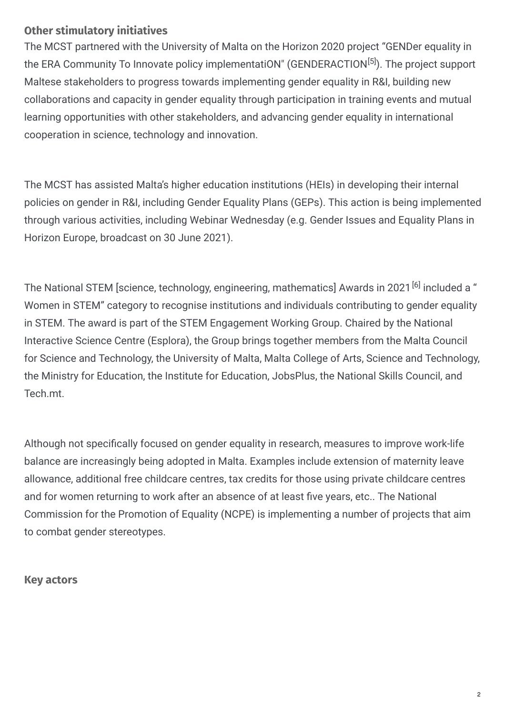### **Other stimulatory initiatives**

The MCST partnered with the University of Malta on the Horizon 2020 project "GENDer equality in the ERA Community To Innovate policy implementatiON" (GENDERACTION<sup>[5]</sup>). The project support Maltese stakeholders to progress towards implementing gender equality in R&I, building new collaborations and capacity in gender equality through participation in training events and mutual learning opportunities with other stakeholders, and advancing gender equality in international cooperation in science, technology and innovation.

The MCST has assisted Malta's higher education institutions (HEIs) in developing their internal policies on gender in R&I, including Gender Equality Plans (GEPs). This action is being implemented through various activities, including Webinar Wednesday (e.g. Gender Issues and Equality Plans in Horizon Europe, broadcast on 30 June 2021).

The National STEM [science, technology, engineering, mathematics] Awards in 2021 <sup>[6]</sup> included a " Women in STEM" category to recognise institutions and individuals contributing to gender equality in STEM. The award is part of the STEM Engagement Working Group. Chaired by the National Interactive Science Centre (Esplora), the Group brings together members from the Malta Council for Science and Technology, the University of Malta, Malta College of Arts, Science and Technology, the Ministry for Education, the Institute for Education, JobsPlus, the National Skills Council, and Tech.mt.

Although not specifically focused on gender equality in research, measures to improve work-life balance are increasingly being adopted in Malta. Examples include extension of maternity leave allowance, additional free childcare centres, tax credits for those using private childcare centres and for women returning to work after an absence of at least five years, etc.. The National Commission for the Promotion of Equality (NCPE) is implementing a number of projects that aim to combat gender stereotypes.

#### **Key actors**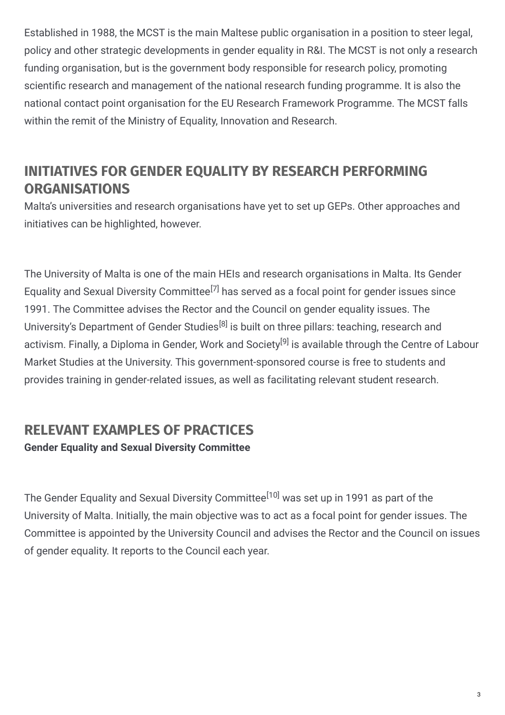Established in 1988, the MCST is the main Maltese public organisation in a position to steer legal, policy and other strategic developments in gender equality in R&I. The MCST is not only a research funding organisation, but is the government body responsible for research policy, promoting scientific research and management of the national research funding programme. It is also the national contact point organisation for the EU Research Framework Programme. The MCST falls within the remit of the Ministry of Equality, Innovation and Research.

# **INITIATIVES FOR GENDER EQUALITY BY RESEARCH PERFORMING ORGANISATIONS**

Malta's universities and research organisations have yet to set up GEPs. Other approaches and initiatives can be highlighted, however.

The University of Malta is one of the main HEIs and research organisations in Malta. Its Gender Equality and Sexual Diversity Committee<sup>[7]</sup> has served as a focal point for gender issues since 1991. The Committee advises the Rector and the Council on gender equality issues. The University's Department of Gender Studies<sup>[8]</sup> is built on three pillars: teaching, research and activism. Finally, a Diploma in Gender, Work and Society<sup>[9]</sup> is available through the Centre of Labour Market Studies at the University. This government-sponsored course is free to students and provides training in gender-related issues, as well as facilitating relevant student research.

## **RELEVANT EXAMPLES OF PRACTICES Gender Equality and Sexual Diversity Committee**

The Gender Equality and Sexual Diversity Committee<sup>[10]</sup> was set up in 1991 as part of the University of Malta. Initially, the main objective was to act as a focal point for gender issues. The Committee is appointed by the University Council and advises the Rector and the Council on issues of gender equality. It reports to the Council each year.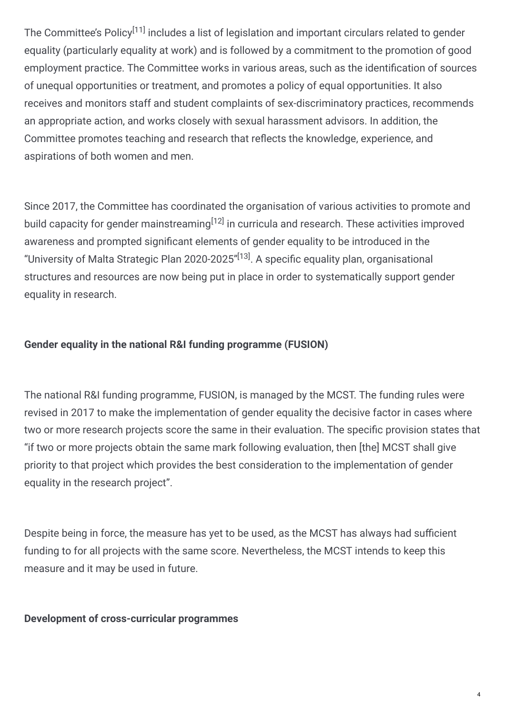The Committee's Policy<sup>[11]</sup> includes a list of legislation and important circulars related to gender equality (particularly equality at work) and is followed by a commitment to the promotion of good employment practice. The Committee works in various areas, such as the identification of sources of unequal opportunities or treatment, and promotes a policy of equal opportunities. It also receives and monitors staff and student complaints of sex-discriminatory practices, recommends an appropriate action, and works closely with sexual harassment advisors. In addition, the Committee promotes teaching and research that reflects the knowledge, experience, and aspirations of both women and men.

Since 2017, the Committee has coordinated the organisation of various activities to promote and build capacity for gender mainstreaming<sup>[12]</sup> in curricula and research. These activities improved awareness and prompted significant elements of gender equality to be introduced in the "University of Malta Strategic Plan 2020-2025"<sup>[13]</sup>. A specific equality plan, organisational structures and resources are now being put in place in order to systematically support gender equality in research.

### **Gender equality in the national R&I funding programme (FUSION)**

The national R&I funding programme, FUSION, is managed by the MCST. The funding rules were revised in 2017 to make the implementation of gender equality the decisive factor in cases where two or more research projects score the same in their evaluation. The specific provision states that "if two or more projects obtain the same mark following evaluation, then [the] MCST shall give priority to that project which provides the best consideration to the implementation of gender equality in the research project".

Despite being in force, the measure has yet to be used, as the MCST has always had sufficient funding to for all projects with the same score. Nevertheless, the MCST intends to keep this measure and it may be used in future.

**Development of cross-curricular programmes**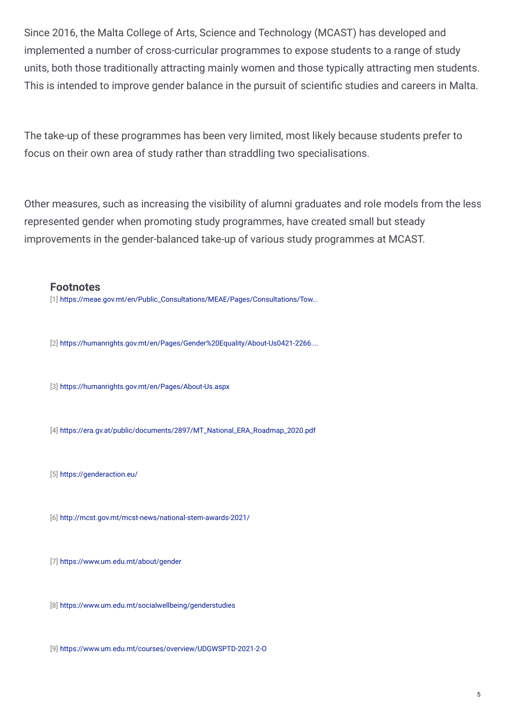Since 2016, the Malta College of Arts, Science and Technology (MCAST) has developed and implemented a number of cross-curricular programmes to expose students to a range of study units, both those traditionally attracting mainly women and those typically attracting men students. This is intended to improve gender balance in the pursuit of scientific studies and careers in Malta.

The take-up of these programmes has been very limited, most likely because students prefer to focus on their own area of study rather than straddling two specialisations.

Other measures, such as increasing the visibility of alumni graduates and role models from the less represented gender when promoting study programmes, have created small but steady improvements in the gender-balanced take-up of various study programmes at MCAST.

#### **Footnotes**

[1] [https://meae.gov.mt/en/Public\\_Consultations/MEAE/Pages/Consultations/Tow...](https://meae.gov.mt/en/Public_Consultations/MEAE/Pages/Consultations/Towards-a-Gender-Equality-Mainstreaming-Framework.aspx)

[2] [https://humanrights.gov.mt/en/Pages/Gender%20Equality/About-Us0421-2266....](https://humanrights.gov.mt/en/Pages/Gender Equality/About-Us0421-2266.aspx)

[3] <https://humanrights.gov.mt/en/Pages/About-Us.aspx>

[4] [https://era.gv.at/public/documents/2897/MT\\_National\\_ERA\\_Roadmap\\_2020.pdf](https://era.gv.at/public/documents/2897/MT_National_ERA_Roadmap_2020.pdf)

[5] <https://genderaction.eu/>

[6] <http://mcst.gov.mt/mcst-news/national-stem-awards-2021/>

[7] <https://www.um.edu.mt/about/gender>

[8] <https://www.um.edu.mt/socialwellbeing/genderstudies>

[9] <https://www.um.edu.mt/courses/overview/UDGWSPTD-2021-2-O>